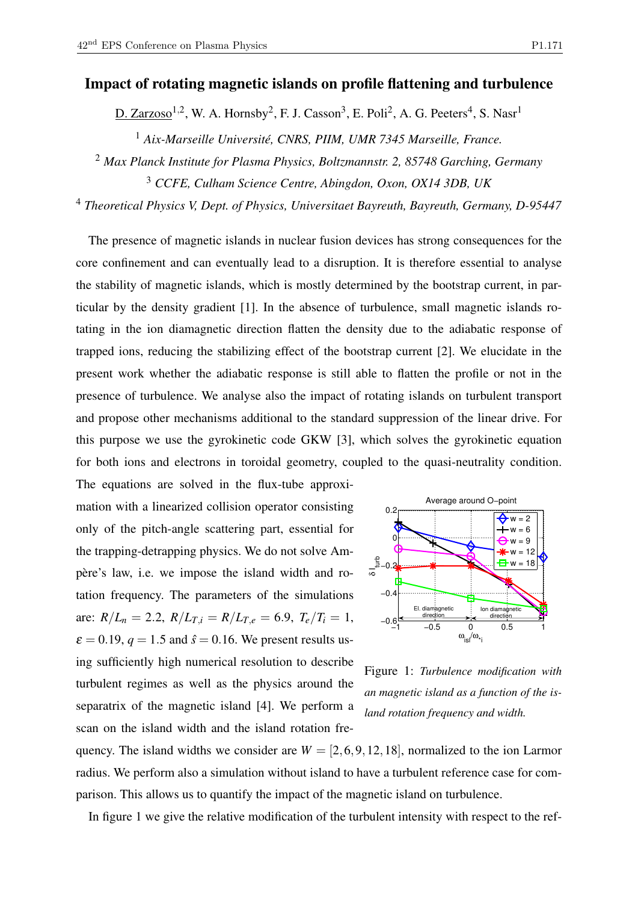## Impact of rotating magnetic islands on profile flattening and turbulence

 $\underline{\mathsf{D.}\,\mathrm{Zarzoso}}^{1,2}$ , W. A. Hornsby<sup>2</sup>, F. J. Casson<sup>3</sup>, E. Poli<sup>2</sup>, A. G. Peeters<sup>4</sup>, S. Nasr<sup>1</sup>

<sup>1</sup> *Aix-Marseille Université, CNRS, PIIM, UMR 7345 Marseille, France.*

<sup>2</sup> *Max Planck Institute for Plasma Physics, Boltzmannstr. 2, 85748 Garching, Germany*

<sup>3</sup> *CCFE, Culham Science Centre, Abingdon, Oxon, OX14 3DB, UK*

<sup>4</sup> *Theoretical Physics V, Dept. of Physics, Universitaet Bayreuth, Bayreuth, Germany, D-95447*

The presence of magnetic islands in nuclear fusion devices has strong consequences for the core confinement and can eventually lead to a disruption. It is therefore essential to analyse the stability of magnetic islands, which is mostly determined by the bootstrap current, in particular by the density gradient [1]. In the absence of turbulence, small magnetic islands rotating in the ion diamagnetic direction flatten the density due to the adiabatic response of trapped ions, reducing the stabilizing effect of the bootstrap current [2]. We elucidate in the present work whether the adiabatic response is still able to flatten the profile or not in the presence of turbulence. We analyse also the impact of rotating islands on turbulent transport and propose other mechanisms additional to the standard suppression of the linear drive. For this purpose we use the gyrokinetic code GKW [3], which solves the gyrokinetic equation for both ions and electrons in toroidal geometry, coupled to the quasi-neutrality condition.

The equations are solved in the flux-tube approximation with a linearized collision operator consisting only of the pitch-angle scattering part, essential for the trapping-detrapping physics. We do not solve Ampère's law, i.e. we impose the island width and rotation frequency. The parameters of the simulations are:  $R/L_n = 2.2$ ,  $R/L_{T,i} = R/L_{T,e} = 6.9$ ,  $T_e/T_i = 1$ ,  $\varepsilon = 0.19$ ,  $q = 1.5$  and  $\hat{s} = 0.16$ . We present results using sufficiently high numerical resolution to describe turbulent regimes as well as the physics around the separatrix of the magnetic island [4]. We perform a scan on the island width and the island rotation fre-



Figure 1: *Turbulence modification with an magnetic island as a function of the island rotation frequency and width.*

quency. The island widths we consider are  $W = [2, 6, 9, 12, 18]$ , normalized to the ion Larmor radius. We perform also a simulation without island to have a turbulent reference case for comparison. This allows us to quantify the impact of the magnetic island on turbulence.

In figure 1 we give the relative modification of the turbulent intensity with respect to the ref-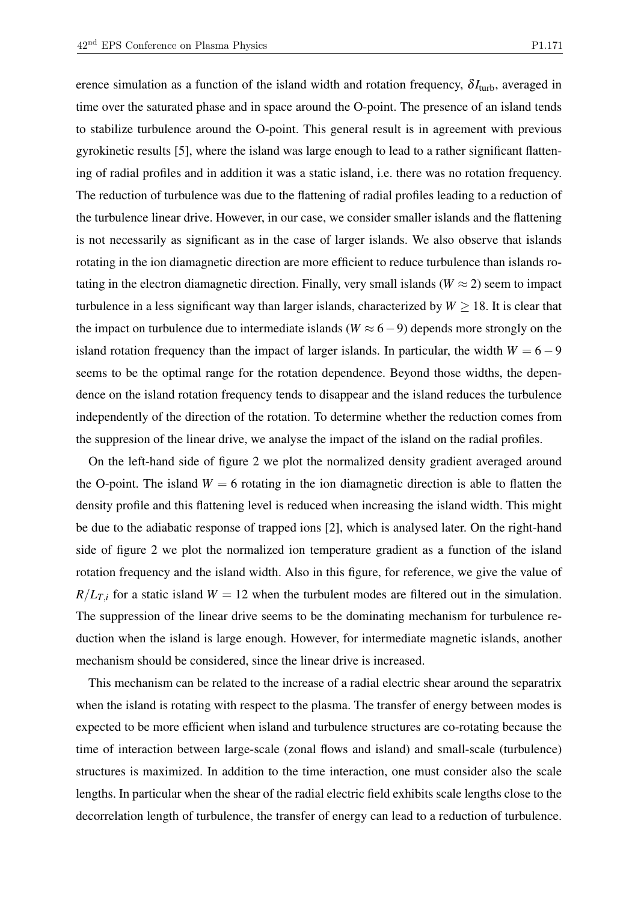erence simulation as a function of the island width and rotation frequency,  $\delta I_{\text{turb}}$ , averaged in time over the saturated phase and in space around the O-point. The presence of an island tends to stabilize turbulence around the O-point. This general result is in agreement with previous gyrokinetic results [5], where the island was large enough to lead to a rather significant flattening of radial profiles and in addition it was a static island, i.e. there was no rotation frequency. The reduction of turbulence was due to the flattening of radial profiles leading to a reduction of the turbulence linear drive. However, in our case, we consider smaller islands and the flattening is not necessarily as significant as in the case of larger islands. We also observe that islands rotating in the ion diamagnetic direction are more efficient to reduce turbulence than islands rotating in the electron diamagnetic direction. Finally, very small islands ( $W \approx 2$ ) seem to impact turbulence in a less significant way than larger islands, characterized by  $W \ge 18$ . It is clear that the impact on turbulence due to intermediate islands ( $W \approx 6-9$ ) depends more strongly on the island rotation frequency than the impact of larger islands. In particular, the width  $W = 6 - 9$ seems to be the optimal range for the rotation dependence. Beyond those widths, the dependence on the island rotation frequency tends to disappear and the island reduces the turbulence independently of the direction of the rotation. To determine whether the reduction comes from the suppresion of the linear drive, we analyse the impact of the island on the radial profiles.

On the left-hand side of figure 2 we plot the normalized density gradient averaged around the O-point. The island  $W = 6$  rotating in the ion diamagnetic direction is able to flatten the density profile and this flattening level is reduced when increasing the island width. This might be due to the adiabatic response of trapped ions [2], which is analysed later. On the right-hand side of figure 2 we plot the normalized ion temperature gradient as a function of the island rotation frequency and the island width. Also in this figure, for reference, we give the value of  $R/L_{T,i}$  for a static island  $W = 12$  when the turbulent modes are filtered out in the simulation. The suppression of the linear drive seems to be the dominating mechanism for turbulence reduction when the island is large enough. However, for intermediate magnetic islands, another mechanism should be considered, since the linear drive is increased.

This mechanism can be related to the increase of a radial electric shear around the separatrix when the island is rotating with respect to the plasma. The transfer of energy between modes is expected to be more efficient when island and turbulence structures are co-rotating because the time of interaction between large-scale (zonal flows and island) and small-scale (turbulence) structures is maximized. In addition to the time interaction, one must consider also the scale lengths. In particular when the shear of the radial electric field exhibits scale lengths close to the decorrelation length of turbulence, the transfer of energy can lead to a reduction of turbulence.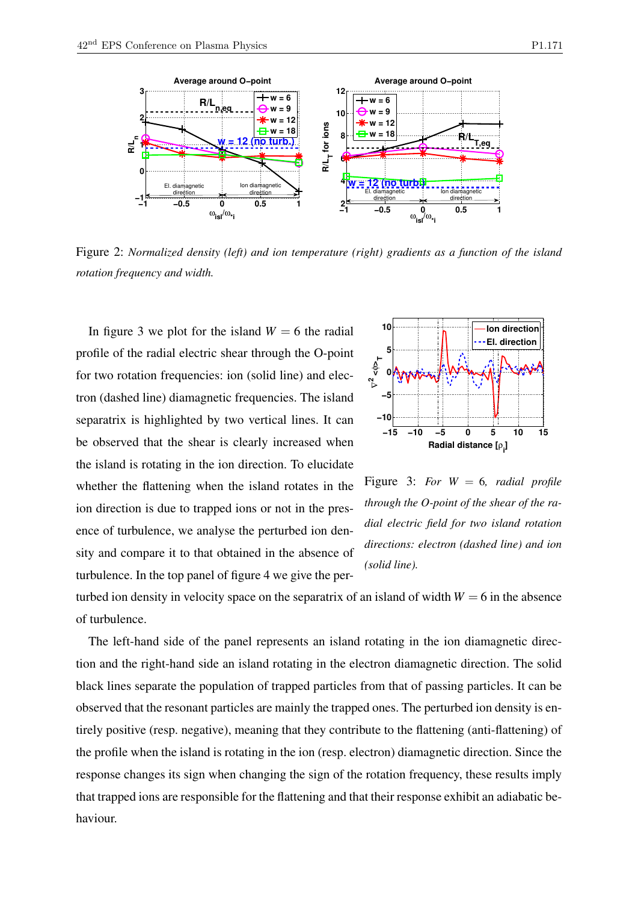

Figure 2: *Normalized density (left) and ion temperature (right) gradients as a function of the island rotation frequency and width.*

In figure 3 we plot for the island  $W = 6$  the radial profile of the radial electric shear through the O-point for two rotation frequencies: ion (solid line) and electron (dashed line) diamagnetic frequencies. The island separatrix is highlighted by two vertical lines. It can be observed that the shear is clearly increased when the island is rotating in the ion direction. To elucidate whether the flattening when the island rotates in the ion direction is due to trapped ions or not in the presence of turbulence, we analyse the perturbed ion density and compare it to that obtained in the absence of turbulence. In the top panel of figure 4 we give the per-



Figure 3: *For W* = 6*, radial profile through the O-point of the shear of the radial electric field for two island rotation directions: electron (dashed line) and ion (solid line).*

turbed ion density in velocity space on the separatrix of an island of width  $W = 6$  in the absence of turbulence.

The left-hand side of the panel represents an island rotating in the ion diamagnetic direction and the right-hand side an island rotating in the electron diamagnetic direction. The solid black lines separate the population of trapped particles from that of passing particles. It can be observed that the resonant particles are mainly the trapped ones. The perturbed ion density is entirely positive (resp. negative), meaning that they contribute to the flattening (anti-flattening) of the profile when the island is rotating in the ion (resp. electron) diamagnetic direction. Since the response changes its sign when changing the sign of the rotation frequency, these results imply that trapped ions are responsible for the flattening and that their response exhibit an adiabatic behaviour.